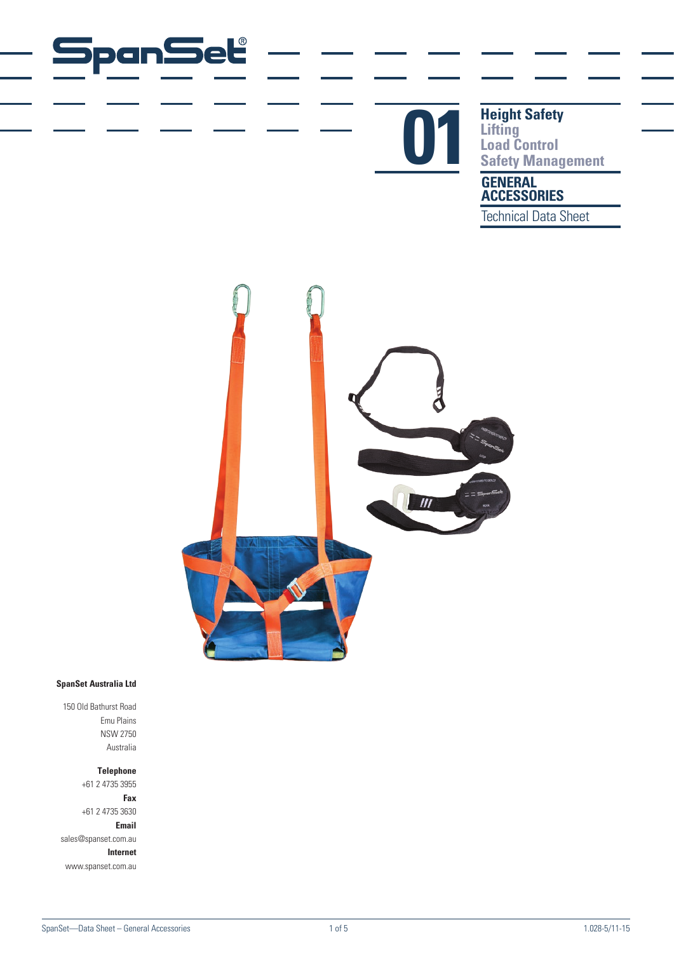# panSet



# **Height Safety Lifting Completed Reight Safety<br>
Lifting<br>
Safety Management**

### **GENERAL ACCESSORIES**

Technical Data Sheet



#### **SpanSet Australia Ltd**

150 Old Bathurst Road Emu Plains NSW 2750 Australia

#### **Telephone**

+61 2 4735 3955 **Fax** +61 2 4735 3630 **Email** sales@spanset.com.au **Internet** www.spanset.com.au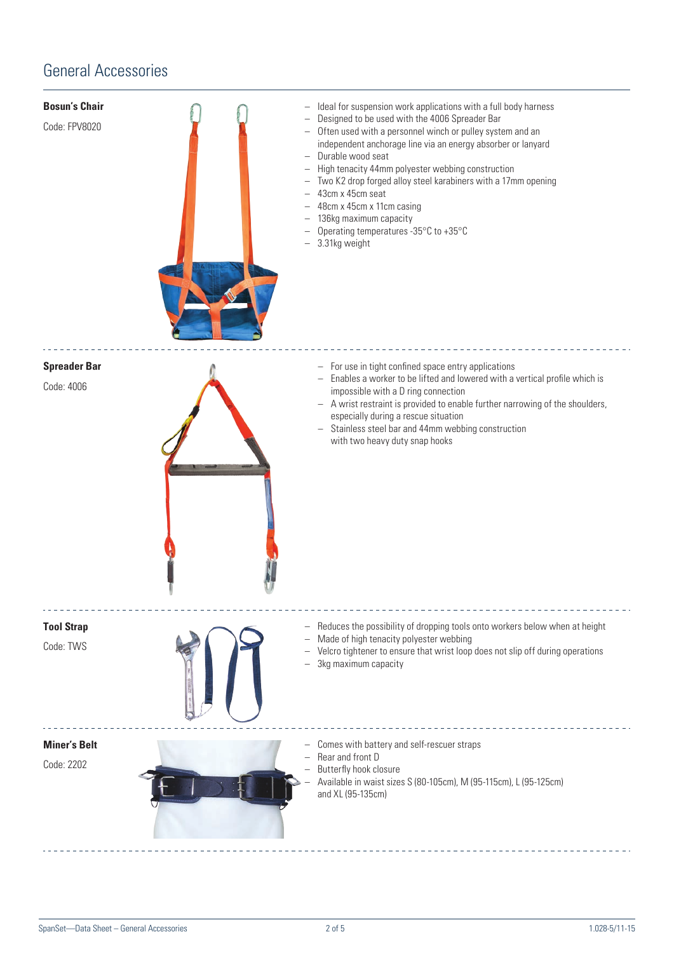## General Accessories

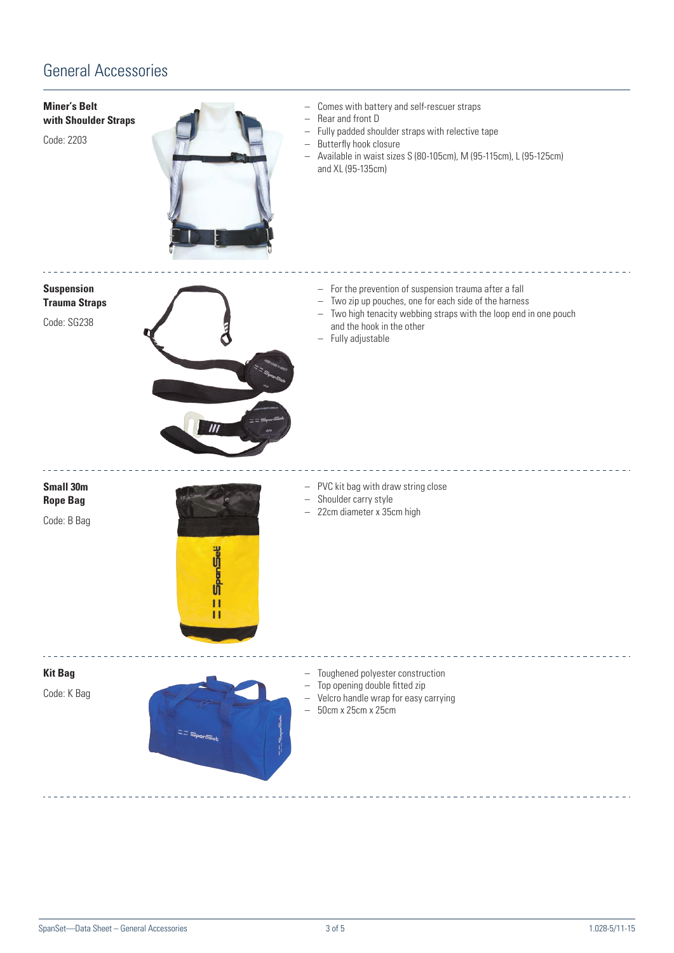# General Accessories

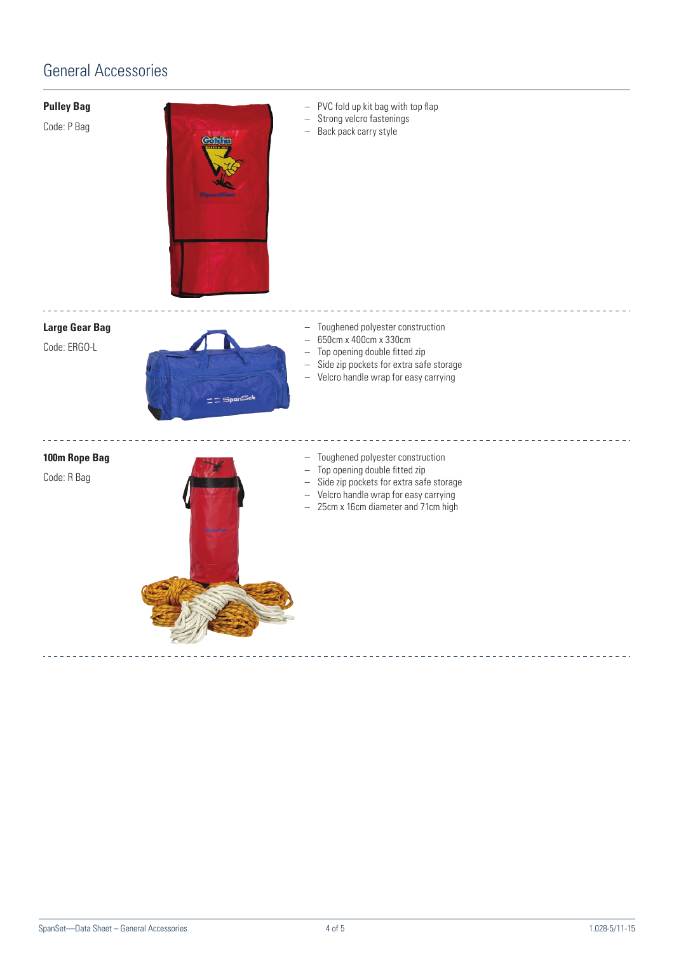# General Accessories

#### **Pulley Bag**

Code: P Bag



- PVC fold up kit bag with top flap
- Strong velcro fastenings
- Back pack carry style



Code: ERGO-L



- Toughened polyester construction
- 650cm x 400cm x 330cm
- Top opening double fitted zip
- Side zip pockets for extra safe storage

– 25cm x 16cm diameter and 71cm high

– Velcro handle wrap for easy carrying

**100m Rope Bag** Code: R Bag